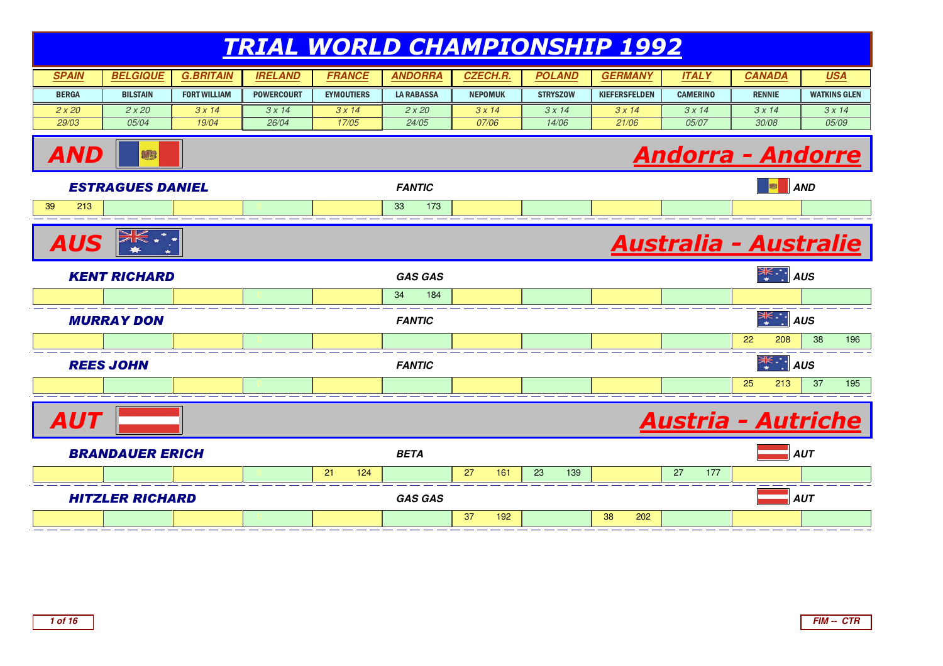|               | <b>TRIAL WORLD CHAMPIONSHIP 1992</b>           |                     |                   |                   |                   |                 |                 |                      |                 |                               |                     |  |  |
|---------------|------------------------------------------------|---------------------|-------------------|-------------------|-------------------|-----------------|-----------------|----------------------|-----------------|-------------------------------|---------------------|--|--|
| <b>SPAIN</b>  | <b>BELGIQUE</b>                                | <b>G.BRITAIN</b>    | <b>IRELAND</b>    | <b>FRANCE</b>     | <b>ANDORRA</b>    | <b>CZECH.R.</b> | <b>POLAND</b>   | <b>GERMANY</b>       | <b>ITALY</b>    | <b>CANADA</b>                 | <b>USA</b>          |  |  |
| <b>BERGA</b>  | <b>BILSTAIN</b>                                | <b>FORT WILLIAM</b> | <b>POWERCOURT</b> | <b>EYMOUTIERS</b> | <b>LA RABASSA</b> | <b>NEPOMUK</b>  | <b>STRYSZOW</b> | <b>KIEFERSFELDEN</b> | <b>CAMERINO</b> | <b>RENNIE</b>                 | <b>WATKINS GLEN</b> |  |  |
| 2x20<br>29/03 | 2x20<br>05/04                                  | 3x14<br>19/04       | 3x14<br>26/04     | 3x14<br>17/05     | 2x20<br>24/05     | 3x14<br>07/06   | 3x14<br>14/06   | 3x14<br>21/06        | 3x14<br>05/07   | 3x14<br>30/08                 | 3x14<br>05/09       |  |  |
|               |                                                |                     |                   |                   |                   |                 |                 |                      |                 |                               |                     |  |  |
|               | <b>AND</b><br><u> Andorra - Andorre</u><br>t e |                     |                   |                   |                   |                 |                 |                      |                 |                               |                     |  |  |
|               | <b>ESTRAGUES DANIEL</b>                        |                     |                   |                   | <b>FANTIC</b>     |                 |                 |                      |                 | 图                             | <b>AND</b>          |  |  |
| 39<br>213     |                                                |                     |                   |                   | 173<br>33         |                 |                 |                      |                 |                               |                     |  |  |
| <b>AUS</b>    | XK ***                                         |                     |                   |                   |                   |                 |                 |                      |                 | <u> Australia - Australie</u> |                     |  |  |
|               | <b>KENT RICHARD</b>                            |                     |                   |                   | <b>GAS GAS</b>    |                 |                 |                      |                 | *<br>*****                    | <b>AUS</b>          |  |  |
|               |                                                |                     |                   |                   | 34<br>184         |                 |                 |                      |                 |                               |                     |  |  |
|               | <b>MURRAY DON</b>                              |                     |                   |                   | <b>FANTIC</b>     |                 |                 |                      |                 | *<br>*****                    | <b>AUS</b>          |  |  |
|               |                                                |                     |                   |                   |                   |                 |                 |                      |                 | 22<br>208                     | 38<br>196           |  |  |
|               | <b>REES JOHN</b>                               |                     |                   |                   | <b>FANTIC</b>     |                 |                 |                      |                 | ,• ≫<br>∤<br>*                | <b>AUS</b>          |  |  |
|               |                                                |                     |                   |                   |                   |                 |                 |                      |                 | 25<br>213                     | 37<br>195           |  |  |
| <b>AUT</b>    |                                                |                     |                   |                   |                   |                 |                 |                      |                 | <u> Austria - Autriche</u>    |                     |  |  |
|               | <b>BRANDAUER ERICH</b>                         |                     |                   |                   | <b>BETA</b>       |                 |                 |                      |                 |                               | <b>AUT</b>          |  |  |
|               |                                                |                     |                   | 21<br>124         |                   | 27<br>161       | 23<br>139       |                      | 27<br>177       |                               |                     |  |  |
|               | <b>HITZLER RICHARD</b>                         |                     |                   |                   | <b>GAS GAS</b>    |                 |                 |                      |                 |                               | <b>AUT</b>          |  |  |
|               |                                                |                     |                   |                   |                   | 37<br>192       |                 | 38<br>202            |                 |                               |                     |  |  |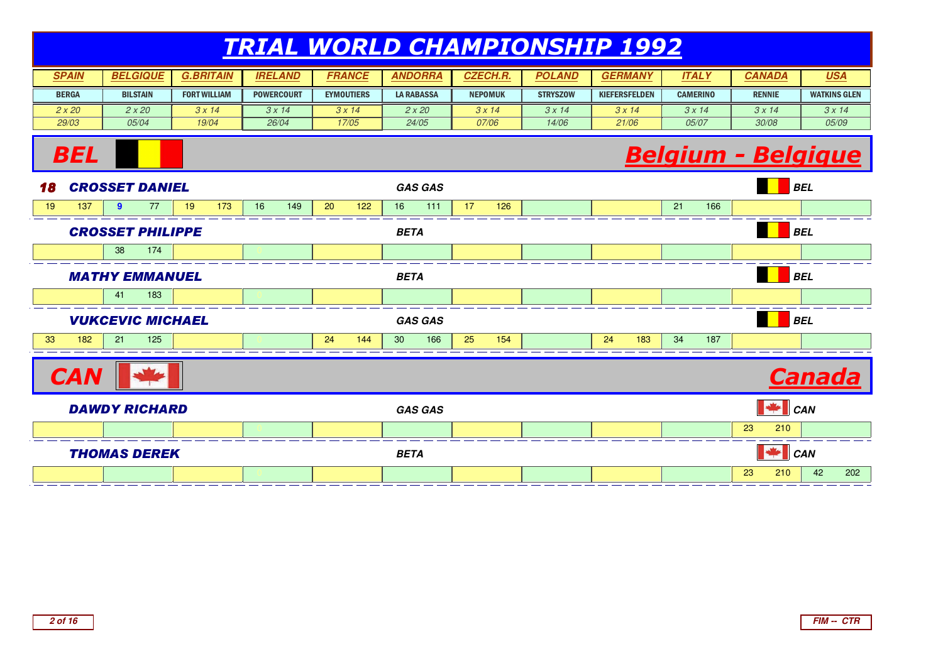## TRIAL WORLD CHAMPIONSHIP 1992

| <b>SPAIN</b> | <b>BELGIQUE</b> | <b>G.BRITAIN</b>    | <b>IRELAND</b>    | <b>FRANCE</b>     | <b>ANDORRA</b>    | <b>CZECH.R.</b> | <b>POLAND</b>   | <b>GERMANY</b> | <b>ITALY</b>    | <b>CANADA</b> | <b>USA</b>          |
|--------------|-----------------|---------------------|-------------------|-------------------|-------------------|-----------------|-----------------|----------------|-----------------|---------------|---------------------|
| <b>BERGA</b> | <b>BILSTAIN</b> | <b>FORT WILLIAM</b> | <b>POWERCOURT</b> | <b>EYMOUTIERS</b> | <b>LA RABASSA</b> | <b>NEPOMUK</b>  | <b>STRYSZOW</b> | KIEFERSFELDEN  | <b>CAMERINO</b> | <b>RENNIE</b> | <b>WATKINS GLEN</b> |
| $2\times 20$ | 2x20            | 3 x 14              | 3x14              | 3 x 14            | 2 x 20            | 3 x 14          | 3 x 14          | 3 x 14         | 3 x 14          | 3 x 14        | 3 x 14              |
| 29/03        | 05/04           | 19/04               | 26/04             | 17/05             | 24/05             | 07/06           | 14/06           | 21/06          | <i>05/07</i>    | 30/08         | 05/09               |

## Belgium - Belgique



**BEL**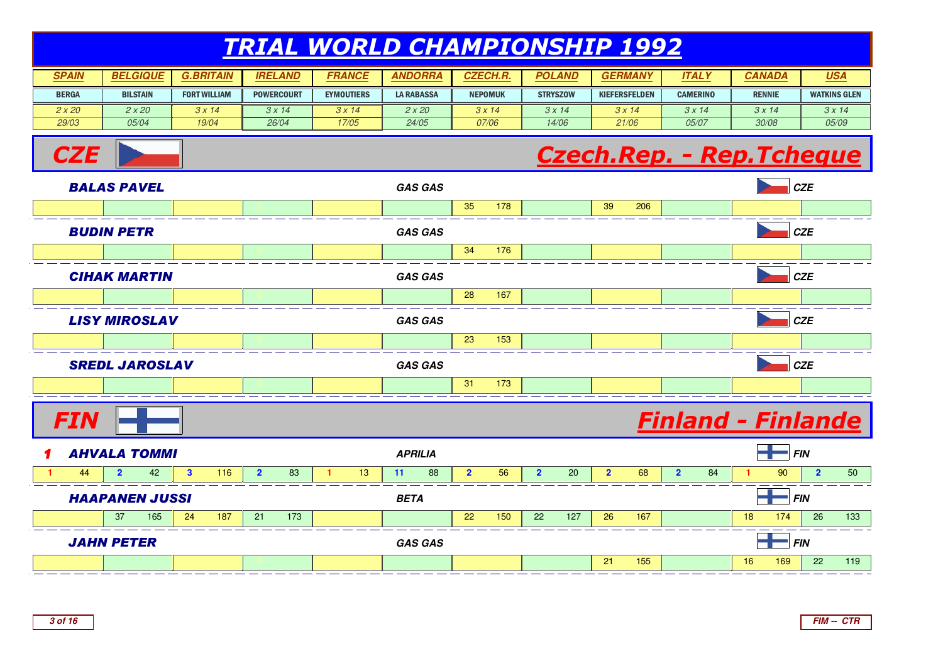## TRIAL WORLD CHAMPIONSHIP 1992

| <b>SPAIN</b> | <b>BELGIQUE</b> | <b>G.BRITAIN</b>    | <b>IRELAND</b>    | FRANCE            | <b>ANDORRA</b> | <i><b>CZECH.R.</b></i> | <b>POLAND</b>   | <b>GERMANY</b>       | <b>ITALY</b>    | <b><i>CANADA</i></b> | <u>USA</u>          |
|--------------|-----------------|---------------------|-------------------|-------------------|----------------|------------------------|-----------------|----------------------|-----------------|----------------------|---------------------|
| <b>BERGA</b> | <b>BILSTAIN</b> | <b>FORT WILLIAM</b> | <b>POWERCOURT</b> | <b>EYMOUTIERS</b> | LA RABASSA     | <b>NEPOMUK</b>         | <b>STRYSZOW</b> | <b>KIEFERSFELDEN</b> | <b>CAMERINO</b> | RENNIE               | <b>WATKINS GLEN</b> |
| 2 x 20       | 2x20            | 3x14                | 3x14              | 3x14              | 2 x 20         | 3 x 14                 | 3 x 14          | 3 x 14               | 3 x 14          | 3 x 14               | 3 x 14              |
| 29/03        | <i>05/04</i>    | 19/04               | 26/04             | 17/05             | 24/05          | 07/06                  | 14/06           | 21/06                | 05/07           | 30/08                | 05/09               |

## Czech.Rep. - Rep.Tcheque



**CZE**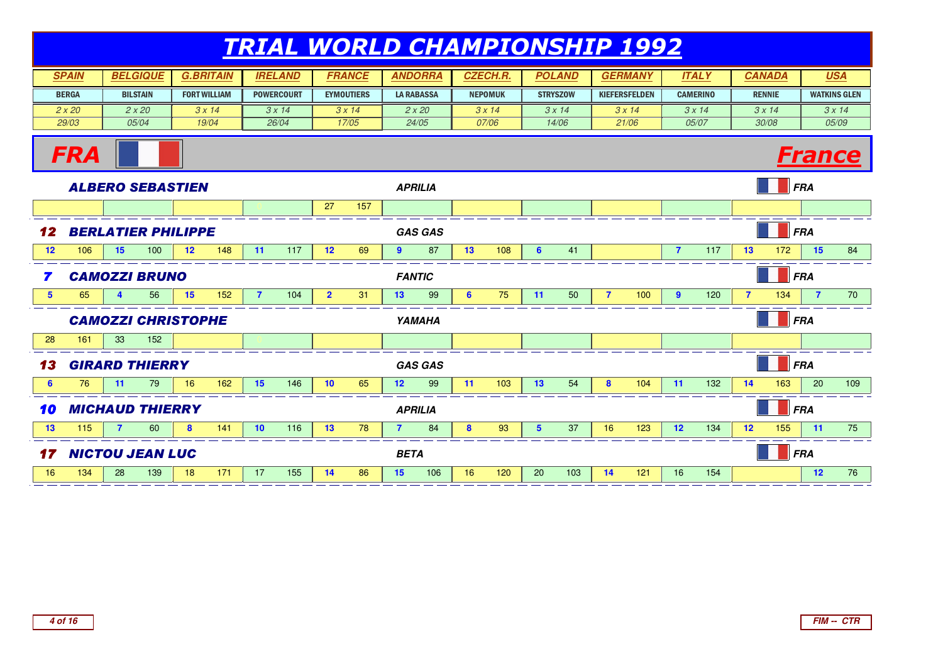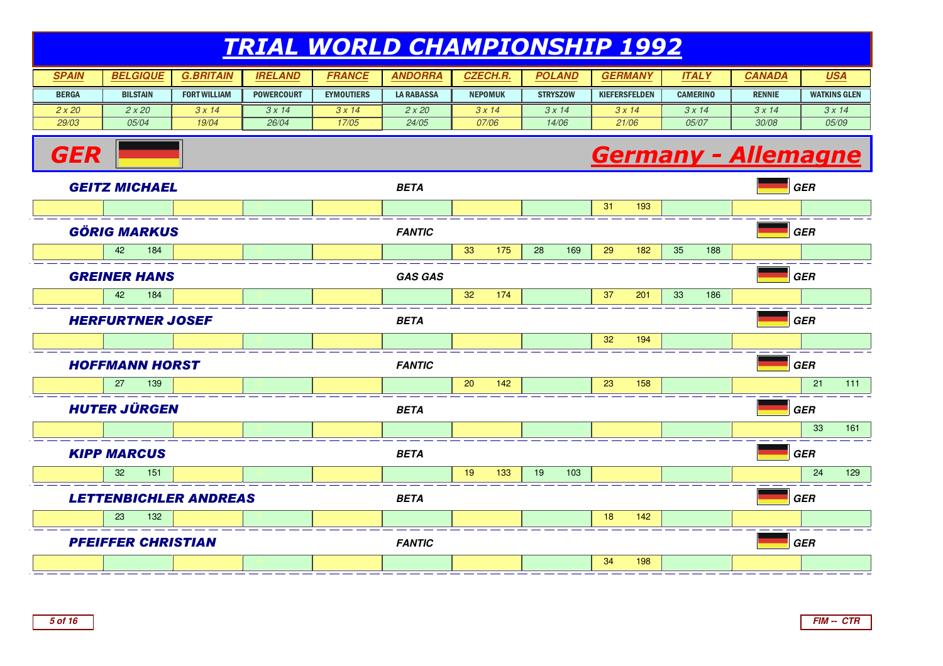|               |                              |                     |                   |                   |                   |                 |                 | <b>TRIAL WORLD CHAMPIONSHIP 1992</b> |                 |               |                     |
|---------------|------------------------------|---------------------|-------------------|-------------------|-------------------|-----------------|-----------------|--------------------------------------|-----------------|---------------|---------------------|
| <b>SPAIN</b>  | <b>BELGIQUE</b>              | <b>G.BRITAIN</b>    | <b>IRELAND</b>    | <b>FRANCE</b>     | <b>ANDORRA</b>    | <b>CZECH.R.</b> | <b>POLAND</b>   | <b>GERMANY</b>                       | <b>ITALY</b>    | <b>CANADA</b> | <b>USA</b>          |
| <b>BERGA</b>  | <b>BILSTAIN</b>              | <b>FORT WILLIAM</b> | <b>POWERCOURT</b> | <b>EYMOUTIERS</b> | <b>LA RABASSA</b> | <b>NEPOMUK</b>  | <b>STRYSZOW</b> | <b>KIEFERSFELDEN</b>                 | <b>CAMERINO</b> | <b>RENNIE</b> | <b>WATKINS GLEN</b> |
| 2x20<br>29/03 | 2x20<br>05/04                | 3x14                | 3x14<br>26/04     | 3x14              | 2x20              | 3x14            | 3x14            | 3x14                                 | 3x14<br>05/07   | 3x14<br>30/08 | 3x14<br>05/09       |
|               |                              | 19/04               |                   | 17/05             | 24/05             | 07/06           | 14/06           | 21/06                                |                 |               |                     |
| GER           |                              |                     |                   |                   |                   |                 |                 | <b>Germany - Allemagne</b>           |                 |               |                     |
|               | <b>GEITZ MICHAEL</b>         |                     |                   |                   | <b>BETA</b>       |                 |                 |                                      |                 |               | <b>GER</b>          |
|               |                              |                     |                   |                   |                   |                 |                 | 31<br>193                            |                 |               |                     |
|               | <b>GÖRIG MARKUS</b>          |                     |                   |                   | <b>FANTIC</b>     |                 |                 |                                      |                 |               | <b>GER</b>          |
|               | 42<br>184                    |                     |                   |                   |                   | 33<br>175       | 28<br>169       | 29<br>182                            | 35<br>188       |               |                     |
|               | <b>GREINER HANS</b>          |                     |                   |                   | <b>GAS GAS</b>    |                 |                 |                                      |                 |               | <b>GER</b>          |
|               | 42<br>184                    |                     |                   |                   |                   | 32<br>174       |                 | 37<br>201                            | 33<br>186       |               |                     |
|               | <b>HERFURTNER JOSEF</b>      |                     |                   |                   | <b>BETA</b>       |                 |                 |                                      |                 |               | <b>GER</b>          |
|               |                              |                     |                   |                   |                   |                 |                 | 32<br>194                            |                 |               |                     |
|               | <b>HOFFMANN HORST</b>        |                     |                   |                   | <b>FANTIC</b>     |                 |                 |                                      |                 |               | <b>GER</b>          |
|               | 27<br>139                    |                     |                   |                   |                   | 20<br>142       |                 | 23<br>158                            |                 |               | 21<br>111           |
|               | <b>HUTER JÜRGEN</b>          |                     |                   |                   | <b>BETA</b>       |                 |                 |                                      |                 |               | <b>GER</b>          |
|               |                              |                     |                   |                   |                   |                 |                 |                                      |                 |               | 33<br>161           |
|               | <b>KIPP MARCUS</b>           |                     |                   |                   | <b>BETA</b>       |                 |                 |                                      |                 |               | <b>GER</b>          |
|               | 32<br>151                    |                     |                   |                   |                   | 19<br>133       | 19<br>103       |                                      |                 |               | 24<br>129           |
|               | <b>LETTENBICHLER ANDREAS</b> |                     |                   |                   |                   |                 |                 |                                      |                 |               | <b>GER</b>          |
|               | 23<br>132                    |                     |                   |                   |                   |                 |                 | 18<br>142                            |                 |               |                     |
|               | <b>PFEIFFER CHRISTIAN</b>    |                     |                   |                   |                   |                 |                 |                                      |                 |               | <b>GER</b>          |
|               |                              |                     |                   |                   |                   |                 |                 | 34<br>198                            |                 |               |                     |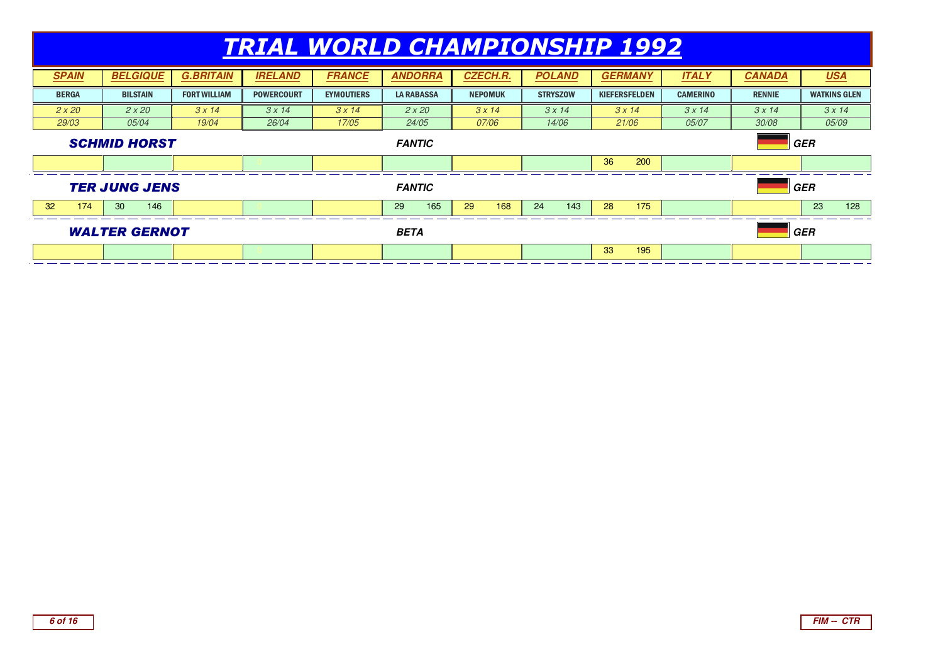| <b>TRIAL WORLD CHAMPIONSHIP 1992</b> |                     |                      |                     |                   |                   |                   |                 |                 |                      |                 |               |                     |
|--------------------------------------|---------------------|----------------------|---------------------|-------------------|-------------------|-------------------|-----------------|-----------------|----------------------|-----------------|---------------|---------------------|
| <b>SPAIN</b>                         |                     | <b>BELGIQUE</b>      | <b>G.BRITAIN</b>    | <b>IRELAND</b>    | <b>FRANCE</b>     | <b>ANDORRA</b>    | <b>CZECH.R.</b> | <b>POLAND</b>   | <b>GERMANY</b>       | <b>ITALY</b>    | <b>CANADA</b> | <b>USA</b>          |
| <b>BERGA</b>                         |                     | <b>BILSTAIN</b>      | <b>FORT WILLIAM</b> | <b>POWERCOURT</b> | <b>EYMOUTIERS</b> | <b>LA RABASSA</b> | <b>NEPOMUK</b>  | <b>STRYSZOW</b> | <b>KIEFERSFELDEN</b> | <b>CAMERINO</b> | <b>RENNIE</b> | <b>WATKINS GLEN</b> |
| 2x20                                 |                     | 2x20                 | 3x14                | 3x14              | 3x14              | 2x20              | 3x14            | 3x14            | 3x14                 | 3x14            | 3x14          | 3x14                |
| 29/03                                |                     | 05/04                | 19/04               | 26/04             | 17/05             | 24/05             | 07/06           | 14/06           | 21/06                | 05/07           | 30/08         | 05/09               |
|                                      | <b>SCHMID HORST</b> |                      |                     |                   |                   | <b>FANTIC</b>     |                 |                 |                      |                 |               | <b>GER</b>          |
|                                      |                     |                      |                     |                   |                   |                   |                 |                 | 36<br>200            |                 |               |                     |
|                                      |                     | <b>TER JUNG JENS</b> |                     |                   |                   | <b>FANTIC</b>     |                 |                 |                      |                 |               | <b>GER</b>          |
| 32 <sup>°</sup>                      | 174<br>146<br>30    |                      |                     |                   |                   | 165<br>29         | 29<br>168       | 143<br>24       | 28<br>175            |                 |               | 128<br>23           |
|                                      |                     | <b>WALTER GERNOT</b> |                     |                   |                   | <b>BETA</b>       |                 |                 |                      |                 |               | <b>GER</b>          |
|                                      |                     |                      |                     |                   |                   |                   |                 |                 | 33<br>195            |                 |               |                     |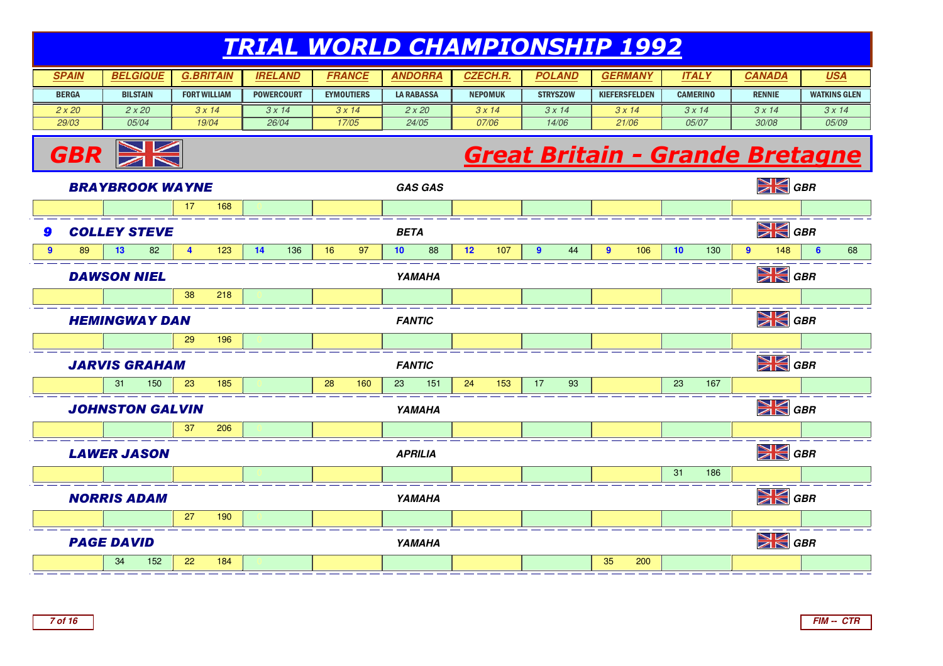## TRIAL WORLD CHAMPIONSHIP 1992

| <b>SPAIN</b> | <b>BELGIQUE</b> | <b>G.BRITAIN</b>    | <b>IRELAND</b>    | FRANCE            | <b>ANDORRA</b> | <b>CZECH.R.</b> | <b>POLAND</b>   | <b>GERMANY</b>       | <b>ITAL</b>     | <b>CANADA</b> | <u>USA</u>          |
|--------------|-----------------|---------------------|-------------------|-------------------|----------------|-----------------|-----------------|----------------------|-----------------|---------------|---------------------|
| <b>BERGA</b> | <b>BILSTAIN</b> | <b>FORT WILLIAM</b> | <b>POWERCOURT</b> | <b>EYMOUTIERS</b> | LA RABASSA     | <b>NEPOMUK</b>  | <b>STRYSZOW</b> | <b>KIEFERSFELDEN</b> | <b>CAMERINO</b> | <b>RENNIE</b> | <b>WATKINS GLEN</b> |
| 2 x 20       | 2x20'           | 3 x 14              | 3 x 14            | 3 x 14            | 2 x 20         | 3x14            | 3 x 14          | 3 x 14               | 3 x 14          | 3x14          | 3x14                |
| 29/03        | 05/04           | 19/04               | 26/04             | 17/05             | 24/05          | 07/06           | 14/06           | 21/06                | 05/07           | 30/08         | 05/09               |



# Great Britain - Grande Bretagne

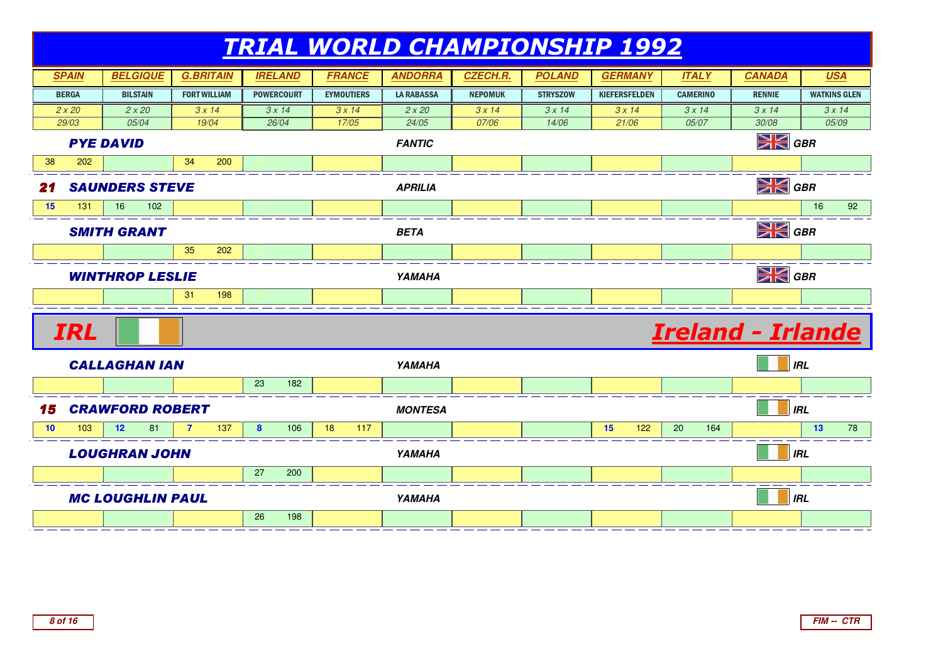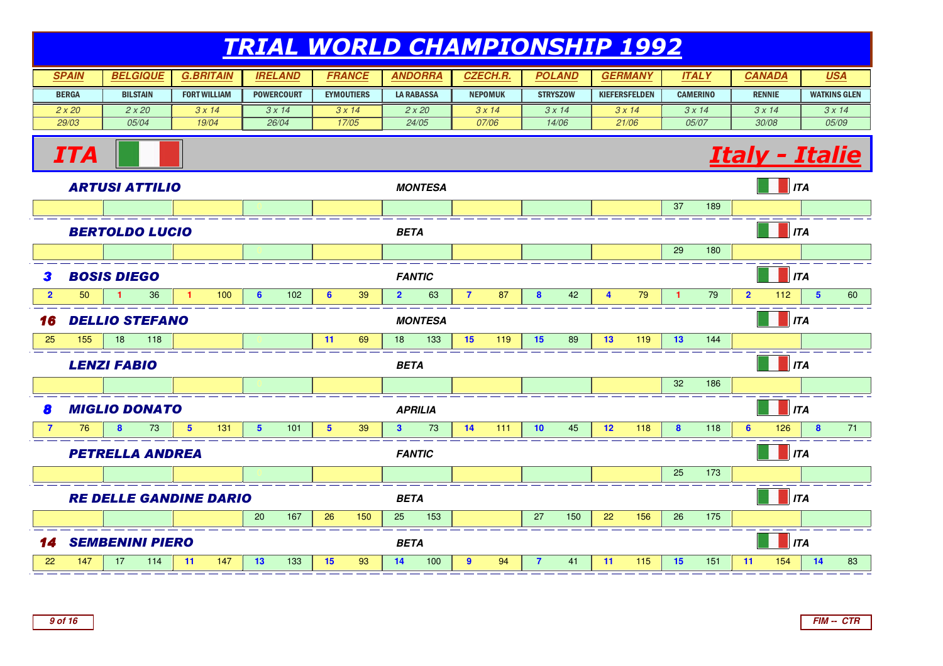#### TRIAL WORLD CHAMPIONSHIP 1992**SPAIN BELGIQUE G.BRITAIN IRELAND FRANCE** BERGA $2 x 20$  29/03BILSTAIN FORT WILLIAMPOWERCOURT FYMOUTIERS **ANDORRA CZECH.R. POLAND GERMANY ITALY** LA RABASSA NEPOMUK**STRYSZOW**  KIEFERSFELDEN CAMERINO  $2 \times 20$  05/04 $3 \times 14$  19/043 x 14 26/04 $3 \times 14$  17/05 $2 x 20$  24/05 $3 × 14$  07/06 $3 \times 14$  14/063 x 14 21/06 $3 \times 14$  05/07**CANADA**RENNIE $3 \times 14$  30/08**USA**WATKINS GLEN3 x 14 05/09ITA Italy - Italie ARTUSI ATTILIO **MONTESA ITA** <sup>0</sup> <sup>0</sup> <sup>0</sup> <sup>0</sup> <sup>0</sup> <sup>0</sup> <sup>0</sup> <sup>0</sup> <sup>37</sup> <sup>189</sup> <sup>0</sup> <sup>0</sup> BERTOLDO LUCIO**BETA ITA ITA ITA ITA ITA ITA** ITA <sup>0</sup> <sup>0</sup> <sup>0</sup> <sup>0</sup> <sup>0</sup> <sup>0</sup> <sup>0</sup> <sup>0</sup> <sup>29</sup> <sup>180</sup> <sup>0</sup> <sup>0</sup> 3**BOSIS DIEGO FANTIC ITA 2** <sup>50</sup> **<sup>1</sup>** <sup>36</sup> **<sup>1</sup>** <sup>100</sup> **<sup>6</sup>** <sup>102</sup> **<sup>6</sup>** <sup>39</sup> **<sup>2</sup>** <sup>63</sup> **<sup>7</sup>** <sup>87</sup> **<sup>8</sup>** <sup>42</sup> **<sup>4</sup>** <sup>79</sup> **<sup>1</sup>** <sup>79</sup> **<sup>2</sup>** <sup>112</sup> **<sup>5</sup>** <sup>60</sup> 16 DELLIO STEFANO **MONTESA ITA** 25 <sup>155</sup> <sup>18</sup> <sup>118</sup> <sup>0</sup> <sup>0</sup> **<sup>11</sup>** <sup>69</sup> <sup>18</sup> <sup>133</sup> **<sup>15</sup>** <sup>119</sup> **<sup>15</sup>** <sup>89</sup> **<sup>13</sup>** <sup>119</sup> **<sup>13</sup>** <sup>144</sup> <sup>0</sup> <sup>0</sup> LENZI FABIO**BETA ITA ITA ITA ITA ITA** ITA <sup>0</sup> <sup>0</sup> <sup>0</sup> <sup>0</sup> <sup>0</sup> <sup>0</sup> <sup>0</sup> <sup>0</sup> <sup>32</sup> <sup>186</sup> <sup>0</sup> <sup>0</sup> 8**MIGLIO DONATO APRILIA ITA 7** <sup>76</sup> **<sup>8</sup>** <sup>73</sup> **<sup>5</sup>** <sup>131</sup> **<sup>5</sup>** <sup>101</sup> **<sup>5</sup>** <sup>39</sup> **<sup>3</sup>** <sup>73</sup> **<sup>14</sup>** <sup>111</sup> **<sup>10</sup>** <sup>45</sup> **<sup>12</sup>** <sup>118</sup> **<sup>8</sup>** <sup>118</sup> **<sup>6</sup>** <sup>126</sup> **<sup>8</sup>** <sup>71</sup> PETRELLA ANDREA **FANTIC ITA** <sup>0</sup> <sup>0</sup> <sup>0</sup> <sup>0</sup> <sup>0</sup> <sup>0</sup> <sup>0</sup> <sup>0</sup> <sup>25</sup> <sup>173</sup> <sup>0</sup> <sup>0</sup> RE DELLE GANDINE DARIO**BETA ITA ITA ITA ITA ITA ITA ITA ITA** ITA 0 22 156 26 175 | 20 300 167 | 26 150 | 25 153 | 27 150 | 27 150 | 22 156 | 26 175 | 27 | 28 | 29 | 29 | 29 | 14 SEMBENINI PIERO**BETA ITA ITA ITA ITA ITA ITA** 22<sup>147</sup> <sup>17</sup> <sup>114</sup> **<sup>11</sup>** <sup>147</sup> **<sup>13</sup>** <sup>133</sup> **<sup>15</sup>** <sup>93</sup> **<sup>14</sup>** <sup>100</sup> **<sup>9</sup>** <sup>94</sup> **<sup>7</sup>** <sup>41</sup> **<sup>11</sup>** <sup>115</sup> **<sup>15</sup>** <sup>151</sup> **<sup>11</sup>** <sup>154</sup> **<sup>14</sup>** <sup>83</sup>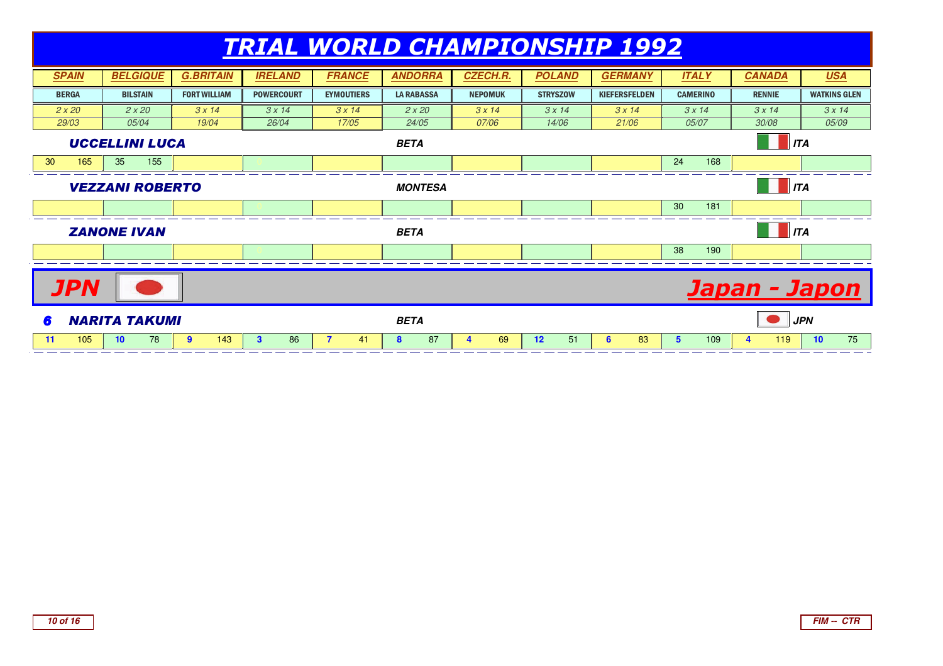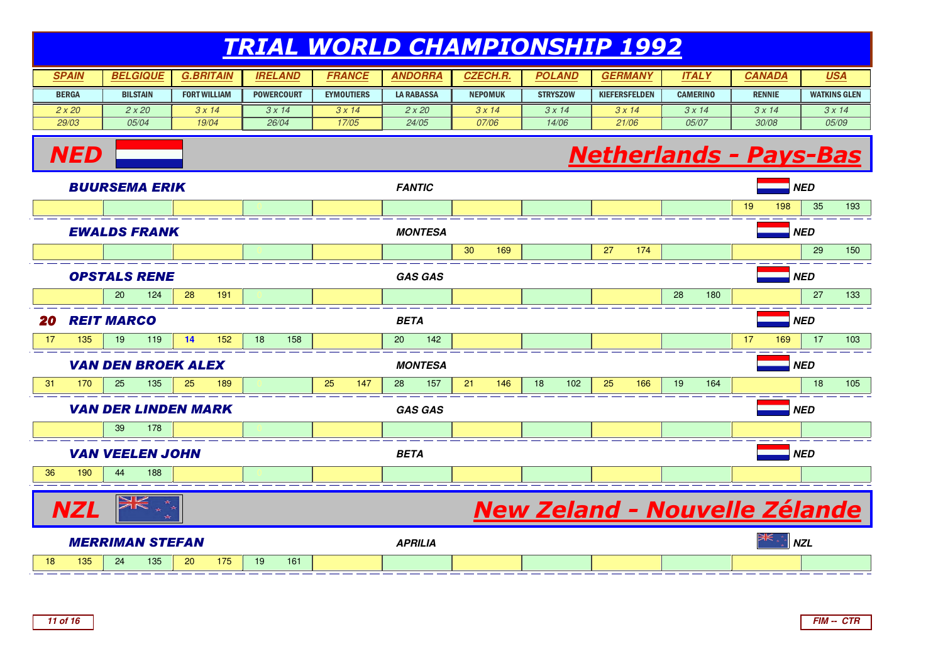### TRIAL WORLD CHAMPIONSHIP 1992**SPAIN BELGIQUE G.BRITAIN IRELAND FRANCE** BERGA $2 x 20$  29/03BILSTAIN FORT WILLIAM POWERCOURT EYMOUTIERS **ANDORRA CZECH.R. POLAND GERMANY ITALY** LA RABASSA NEPOMUK**STRYSZOW**  KIEFERSFELDEN CAMERINO  $2 \times 20$  05/043 x 14 19/043 x 14 26/04 $3 \times 14$  17/05 $2 \times 20$  24/05 $3 × 14$  07/06 $3 \times 14$  14/063 x 14 21/06 $3 \times 14$  05/07**CANADA**RENNIE3 x 14 30/08**USA**WATKINS GLEN3 x 14 05/09**NED**  Netherlands - Pays-Bas BUURSEMA ERIK **FANTIC NED** <sup>0</sup> <sup>0</sup> <sup>0</sup> <sup>0</sup> <sup>0</sup> <sup>0</sup> <sup>0</sup> <sup>0</sup> <sup>0</sup> <sup>19</sup> <sup>198</sup> <sup>35</sup> <sup>193</sup> EWALDS FRANK **MONTESA NED** <sup>0</sup> <sup>0</sup> <sup>0</sup> <sup>0</sup> <sup>0</sup> <sup>30</sup> <sup>169</sup> <sup>0</sup> <sup>27</sup> <sup>174</sup> <sup>0</sup> <sup>0</sup> <sup>29</sup> <sup>150</sup> OPSTALS RENE **GAS GAS NED** <sup>20</sup> <sup>124</sup> <sup>28</sup> <sup>191</sup> <sup>0</sup> <sup>0</sup> <sup>0</sup> <sup>0</sup> <sup>0</sup> <sup>0</sup> <sup>28</sup> <sup>180</sup> <sup>0</sup> <sup>27</sup> <sup>133</sup> 20**REIT MARCO BETA NED** 177 135 19 119 14 152 18 158 | 20 142 | | | | | | | | | | 17 169 | 17 103 VAN DEN BROEK ALEX **MONTESA NED** 311 170 | 25 135 | 25 189 | 0 | 25 147 | 28 157 | 21 146 | 18 102 | 25 166 | 19 164 | | 18 105 VAN DER LINDEN MARK **GAS GAS NED** <sup>39</sup> <sup>178</sup> <sup>0</sup> <sup>0</sup> <sup>0</sup> <sup>0</sup> <sup>0</sup> <sup>0</sup> <sup>0</sup> <sup>0</sup> <sup>0</sup> <sup>0</sup> VAN VEELEN JOHN **BETA NED** 36 <sup>190</sup> <sup>44</sup> <sup>188</sup> <sup>0</sup> <sup>0</sup> <sup>0</sup> <sup>0</sup> <sup>0</sup> <sup>0</sup> <sup>0</sup> <sup>0</sup> <sup>0</sup> <sup>0</sup> NZLNew Zeland - Nouvelle Zélande MERRIMAN STEFAN<u>APRILIA de la contrada de la contrada de la contrada de la contrada de la contrada de la contrada de la contra<br>Nacementos</u> 18<sup>135</sup> <sup>24</sup> <sup>135</sup> <sup>20</sup> <sup>175</sup> <sup>19</sup> <sup>161</sup> <sup>0</sup> <sup>0</sup> <sup>0</sup> <sup>0</sup> <sup>0</sup> <sup>0</sup> <sup>0</sup> <sup>0</sup>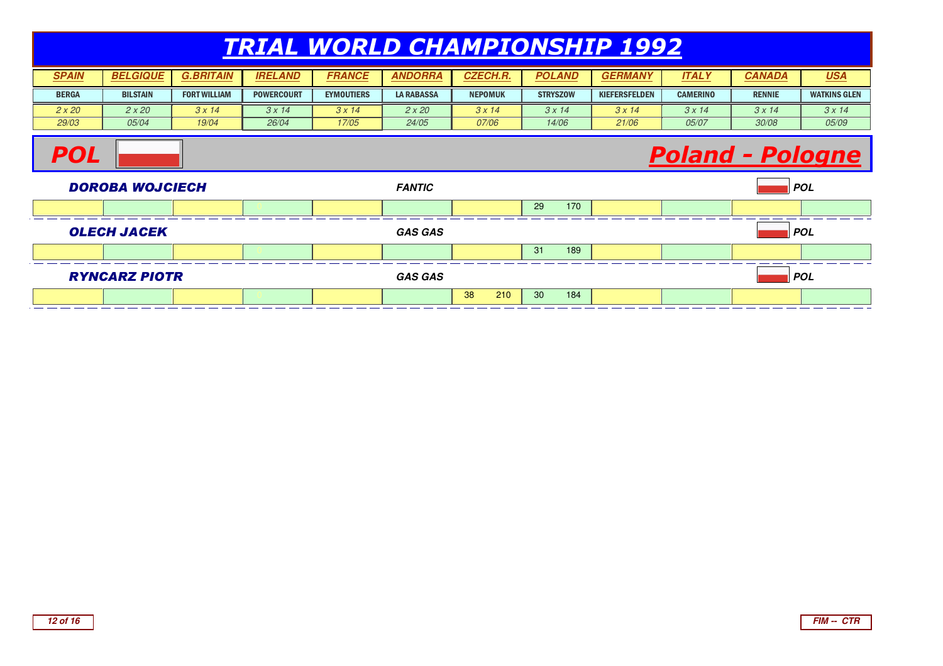#### TRIAL WORLD CHAMPIONSHIP 1992 **BELGIQUE G.BRITAIN IRELAND FRANCE ANDORRA CZECH.R. POLAND GERMANY ITALY CANADAUSA**WATKINS GLEN **BILSTAIN EVMOUTIERS** | **LA RABASSA NEPOMUK STRYSZOW** KIEFERSEELDEN CAMERINO **RENNIE** N | FORT WILLIAM | POWERCOURT | EYMOUTIERS

| ------ | .     |       | . <u>.</u> | -------------- | .      | .     | .      |        |       | ----------              |       |  |
|--------|-------|-------|------------|----------------|--------|-------|--------|--------|-------|-------------------------|-------|--|
| 2x20   | 2x20  | 3x14  | 3 x 14     | 3x1            | 2 x 20 | x14   | 3 x 14 | 3 x 14 | 3x14  | $Q_{\text{M}}$<br>$-10$ | 3x14  |  |
| 29/03  | 05/04 | 19/04 | 26/04      | 17/05          | 24/05  | 07/06 | 14/06  | 21/06  | 05/07 | 30/08                   | 05/09 |  |
|        |       |       |            |                |        |       |        |        |       |                         |       |  |

## Poland - Pologne



**SPAIN**

**BERGA** 

**POL**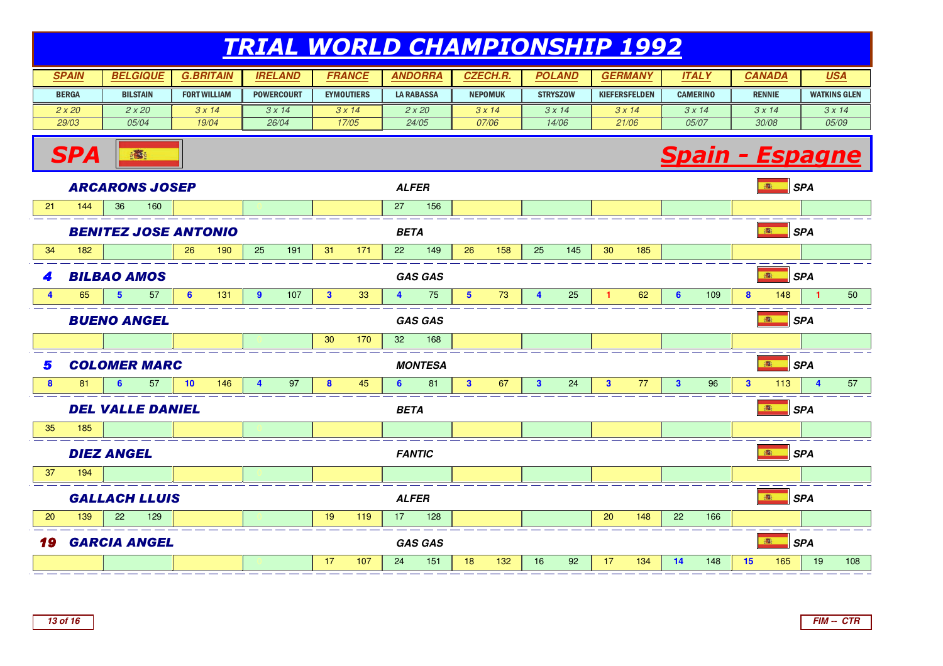#### TRIAL WORLD CHAMPIONSHIP 1992**SPAIN BELGIQUE G.BRITAIN IRELAND FRANCE** BERGA $2 x 20$  29/03BILSTAIN FORT WILLIAMPOWERCOURT FYMOUTIERS **ANDORRA CZECH.R. POLAND GERMANY ITALY** LA RABASSA NEPOMUK**STRYSZOW**  KIEFERSFELDEN CAMERINO  $2 \times 20$  05/043 x 14 19/043 x 14 26/04 $3 \times 14$  17/05 $2 x 20$  24/05 $3 × 14$  07/06 $3 \times 14$  14/063 x 14 21/06 $3 \times 14$  05/07**CANADA**RENNIE $3 \times 14$  30/08**USA**WATKINS GLEN3 x 14 05/09SPA**Spain - Espagne** ARCARONS JOSEP<u>**P** ALFER SPA</u> 21 <sup>144</sup> <sup>36</sup> <sup>160</sup> <sup>0</sup> <sup>0</sup> <sup>0</sup> <sup>27</sup> <sup>156</sup> <sup>0</sup> <sup>0</sup> <sup>0</sup> <sup>0</sup> <sup>0</sup> <sup>0</sup> BENITEZ JOSE ANTONIO<u>**BETA** SPA SPA SPA SPARTICLE SPARTICLE SPARTICLE SPARTICLE SPARTICLE SPARTICLE SPARTICLE SPARTICLE SPARTICLE SPA</u> 34 <sup>182</sup> <sup>0</sup> <sup>26</sup> <sup>190</sup> <sup>25</sup> <sup>191</sup> <sup>31</sup> <sup>171</sup> <sup>22</sup> <sup>149</sup> <sup>26</sup> <sup>158</sup> <sup>25</sup> <sup>145</sup> <sup>30</sup> <sup>185</sup> <sup>0</sup> <sup>0</sup> <sup>0</sup> 4**BILBAO AMOS GAS GAS SPA 4** <sup>65</sup> **<sup>5</sup>** <sup>57</sup> **<sup>6</sup>** <sup>131</sup> **<sup>9</sup>** <sup>107</sup> **<sup>3</sup>** <sup>33</sup> **<sup>4</sup>** <sup>75</sup> **<sup>5</sup>** <sup>73</sup> **<sup>4</sup>** <sup>25</sup> **<sup>1</sup>** <sup>62</sup> **<sup>6</sup>** <sup>109</sup> **<sup>8</sup>** <sup>148</sup> **<sup>1</sup>** <sup>50</sup> BUENO ANGEL **GAS GAS SPA** <sup>0</sup> <sup>0</sup> <sup>0</sup> <sup>30</sup> <sup>170</sup> <sup>32</sup> <sup>168</sup> <sup>0</sup> <sup>0</sup> <sup>0</sup> <sup>0</sup> <sup>0</sup> <sup>0</sup> 5 $\begin{array}{|c|c|c|}\n\hline\n\text{COLOMER MARC} \quad \text{and} \quad \text{for} \quad 57\n\end{array}$  **MONTESA SPA 8** <sup>81</sup> **<sup>6</sup>** <sup>57</sup> **<sup>10</sup>** <sup>146</sup> **<sup>4</sup>** <sup>97</sup> **<sup>8</sup>** <sup>45</sup> **<sup>6</sup>** <sup>81</sup> **<sup>3</sup>** <sup>67</sup> **<sup>3</sup>** <sup>24</sup> **<sup>3</sup>** <sup>77</sup> **<sup>3</sup>** <sup>96</sup> **<sup>3</sup>** <sup>113</sup> **<sup>4</sup>** <sup>57</sup> DEL VALLE DANIEL<u>**BETA** BETA SPA</u> 35 <sup>185</sup> <sup>0</sup> <sup>0</sup> <sup>0</sup> <sup>0</sup> <sup>0</sup> <sup>0</sup> <sup>0</sup> <sup>0</sup> <sup>0</sup> <sup>0</sup> <sup>0</sup> DIEZ ANGEL **FANTIC SPA** 37 <sup>194</sup> <sup>0</sup> <sup>0</sup> <sup>0</sup> <sup>0</sup> <sup>0</sup> <sup>0</sup> <sup>0</sup> <sup>0</sup> <sup>0</sup> <sup>0</sup> <sup>0</sup> GALLACH LLUIS **ALFER SPA** 200 139 | 22 129 | | ○ | 19 119 | 17 128 | | | 20 148 | 22 166 | | | **19 GARCIA ANGEL g** GARCIA ANGEL GAS GAS GAS GAS CONSIDERED GAS GAS <sup>0</sup> <sup>0</sup> <sup>0</sup> <sup>17</sup> <sup>107</sup> <sup>24</sup> <sup>151</sup> <sup>18</sup> <sup>132</sup> <sup>16</sup> <sup>92</sup> <sup>17</sup> <sup>134</sup> **<sup>14</sup>** <sup>148</sup> **<sup>15</sup>** <sup>165</sup> <sup>19</sup> <sup>108</sup>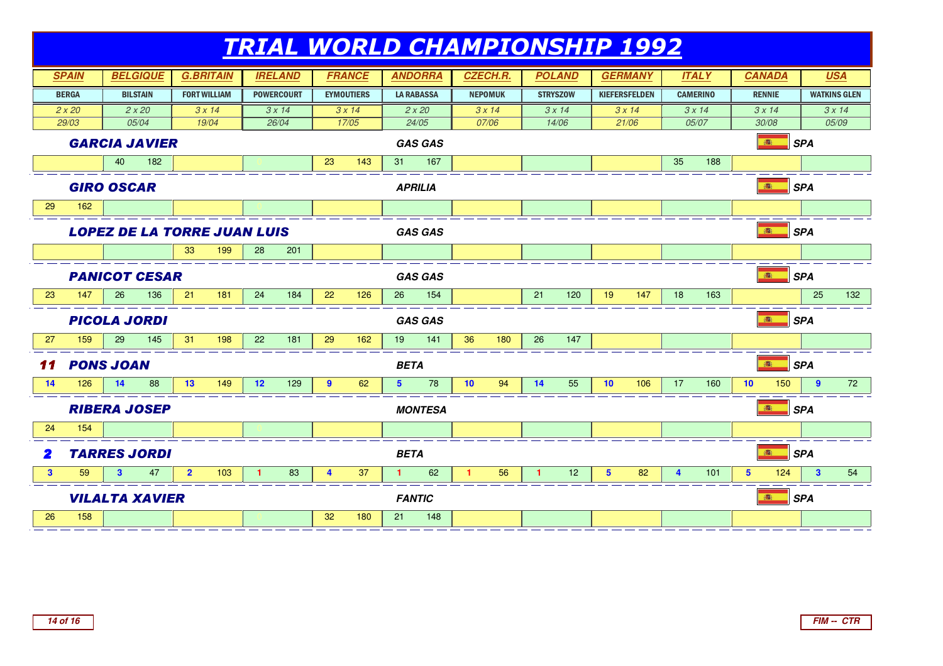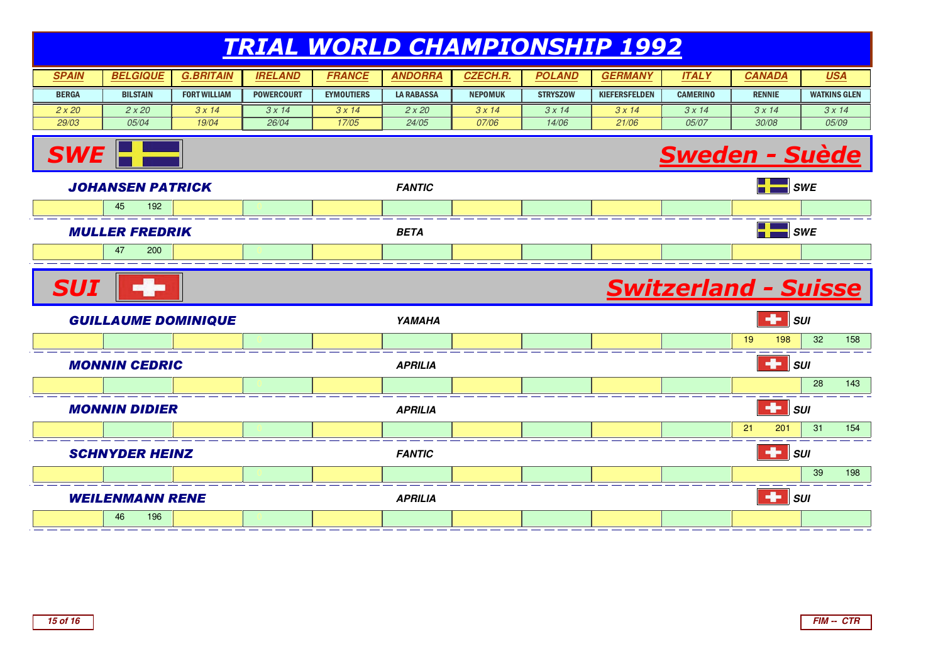|              |                                     |                     |                   |                   |                           |                 |                 | <b>TRIAL WORLD CHAMPIONSHIP 1992</b> |                 |                             |                     |  |
|--------------|-------------------------------------|---------------------|-------------------|-------------------|---------------------------|-----------------|-----------------|--------------------------------------|-----------------|-----------------------------|---------------------|--|
| <b>SPAIN</b> | <b>BELGIQUE</b>                     | <b>G.BRITAIN</b>    | <b>IRELAND</b>    | <b>FRANCE</b>     | <b>ANDORRA</b>            | <b>CZECH.R.</b> | <b>POLAND</b>   | <b>GERMANY</b>                       | <b>ITALY</b>    | <b>CANADA</b>               | <b>USA</b>          |  |
| <b>BERGA</b> | <b>BILSTAIN</b>                     | <b>FORT WILLIAM</b> | <b>POWERCOURT</b> | <b>EYMOUTIERS</b> | <b>LA RABASSA</b>         | <b>NEPOMUK</b>  | <b>STRYSZOW</b> | <b>KIEFERSFELDEN</b>                 | <b>CAMERINO</b> | <b>RENNIE</b>               | <b>WATKINS GLEN</b> |  |
| 2x20         | 2x20                                | 3x14                | 3x14              | 3x14              | 2x20                      | 3x14            | 3x14            | 3x14                                 | 3x14            | 3x14                        | 3x14                |  |
| 29/03        | 05/04                               | 19/04               | 26/04             | 17/05             | 24/05                     | 07/06           | 14/06           | 21/06                                | 05/07           | 30/08                       | 05/09               |  |
|              | <b>Sweden - Suède</b><br><b>SWE</b> |                     |                   |                   |                           |                 |                 |                                      |                 |                             |                     |  |
|              | <b>JOHANSEN PATRICK</b>             |                     |                   |                   | <b>FANTIC</b>             |                 |                 |                                      |                 |                             | <b>SWE</b>          |  |
|              | 192<br>45                           |                     |                   |                   |                           |                 |                 |                                      |                 |                             |                     |  |
|              | <b>MULLER FREDRIK</b>               |                     |                   |                   | <b>BETA</b>               |                 |                 |                                      |                 |                             | <b>SWE</b>          |  |
|              | 47<br>200                           |                     |                   |                   |                           |                 |                 |                                      |                 |                             |                     |  |
| SUI          |                                     |                     |                   |                   |                           |                 |                 |                                      |                 | <b>Switzerland - Suisse</b> |                     |  |
|              | <b>GUILLAUME DOMINIQUE</b>          |                     |                   |                   | ÷<br>YAMAHA<br><b>SUI</b> |                 |                 |                                      |                 |                             |                     |  |
|              |                                     |                     |                   |                   |                           |                 |                 |                                      |                 | 19<br>198                   | 32<br>158           |  |
|              | <b>MONNIN CEDRIC</b>                |                     |                   |                   | <b>APRILIA</b>            |                 |                 |                                      |                 | ÷<br>sul                    |                     |  |
|              |                                     |                     |                   |                   |                           |                 |                 |                                      |                 |                             | 28<br>143           |  |
|              | <b>MONNIN DIDIER</b>                |                     |                   |                   | <b>APRILIA</b>            |                 |                 |                                      |                 | $\frac{1}{2}$               | <b>SUI</b>          |  |
|              |                                     |                     |                   |                   |                           |                 |                 |                                      |                 | 21<br>201                   | 31<br>154           |  |
|              | <b>SCHNYDER HEINZ</b>               |                     |                   |                   | <b>FANTIC</b>             |                 |                 |                                      |                 | ÷<br>$\ $ sul               |                     |  |
|              |                                     |                     |                   |                   |                           |                 |                 |                                      |                 |                             | 39<br>198           |  |
|              | <b>WEILENMANN RENE</b>              |                     |                   |                   |                           |                 |                 |                                      |                 | <b>H</b> SUI                |                     |  |
|              | 46<br>196                           |                     |                   |                   |                           |                 |                 |                                      |                 |                             |                     |  |